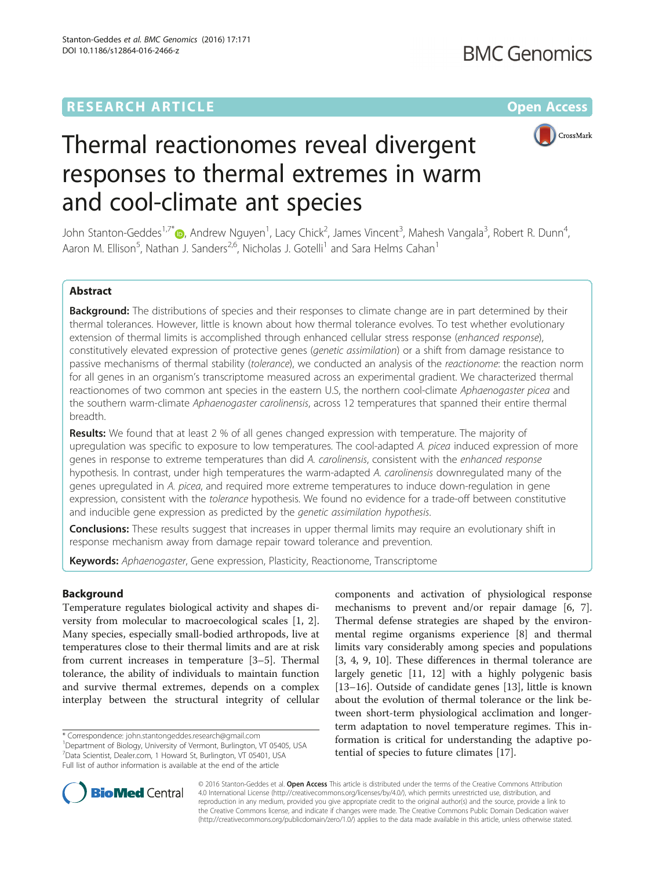# **RESEARCH ARTICLE Example 2014 12:30 The Community Community Community Community Community Community Community**



# Thermal reactionomes reveal divergent responses to thermal extremes in warm and cool-climate ant species

John Stanton-Geddes<sup>1[,](http://orcid.org/0000-0003-4667-2542)7\*</sup> (D, Andrew Nguyen<sup>1</sup>, Lacy Chick<sup>2</sup>, James Vincent<sup>3</sup>, Mahesh Vangala<sup>3</sup>, Robert R. Dunn<sup>4</sup> , Aaron M. Ellison<sup>5</sup>, Nathan J. Sanders<sup>2,6</sup>, Nicholas J. Gotelli<sup>1</sup> and Sara Helms Cahan<sup>1</sup>

# Abstract

Background: The distributions of species and their responses to climate change are in part determined by their thermal tolerances. However, little is known about how thermal tolerance evolves. To test whether evolutionary extension of thermal limits is accomplished through enhanced cellular stress response (enhanced response), constitutively elevated expression of protective genes (genetic assimilation) or a shift from damage resistance to passive mechanisms of thermal stability (tolerance), we conducted an analysis of the reactionome: the reaction norm for all genes in an organism's transcriptome measured across an experimental gradient. We characterized thermal reactionomes of two common ant species in the eastern U.S, the northern cool-climate Aphaenogaster picea and the southern warm-climate Aphaenogaster carolinensis, across 12 temperatures that spanned their entire thermal breadth.

**Results:** We found that at least 2 % of all genes changed expression with temperature. The majority of upregulation was specific to exposure to low temperatures. The cool-adapted A. picea induced expression of more genes in response to extreme temperatures than did A. carolinensis, consistent with the enhanced response hypothesis. In contrast, under high temperatures the warm-adapted A. carolinensis downregulated many of the genes upregulated in A. picea, and required more extreme temperatures to induce down-regulation in gene expression, consistent with the tolerance hypothesis. We found no evidence for a trade-off between constitutive and inducible gene expression as predicted by the *genetic assimilation hypothesis*.

**Conclusions:** These results suggest that increases in upper thermal limits may require an evolutionary shift in response mechanism away from damage repair toward tolerance and prevention.

Keywords: Aphaenogaster, Gene expression, Plasticity, Reactionome, Transcriptome

# Background

Temperature regulates biological activity and shapes diversity from molecular to macroecological scales [\[1](#page-12-0), [2](#page-12-0)]. Many species, especially small-bodied arthropods, live at temperatures close to their thermal limits and are at risk from current increases in temperature [[3](#page-12-0)–[5](#page-12-0)]. Thermal tolerance, the ability of individuals to maintain function and survive thermal extremes, depends on a complex interplay between the structural integrity of cellular

\* Correspondence: [john.stantongeddes.research@gmail.com](mailto:john.stantongeddes.research@gmail.com) <sup>1</sup>

<sup>1</sup>Department of Biology, University of Vermont, Burlington, VT 05405, USA 7 Data Scientist, Dealer.com, 1 Howard St, Burlington, VT 05401, USA Full list of author information is available at the end of the article

components and activation of physiological response mechanisms to prevent and/or repair damage [\[6](#page-12-0), [7](#page-12-0)]. Thermal defense strategies are shaped by the environmental regime organisms experience [\[8](#page-12-0)] and thermal limits vary considerably among species and populations [[3, 4, 9, 10\]](#page-12-0). These differences in thermal tolerance are largely genetic [[11, 12](#page-12-0)] with a highly polygenic basis [[13](#page-12-0)–[16](#page-12-0)]. Outside of candidate genes [[13\]](#page-12-0), little is known about the evolution of thermal tolerance or the link between short-term physiological acclimation and longerterm adaptation to novel temperature regimes. This information is critical for understanding the adaptive potential of species to future climates [\[17](#page-12-0)].



© 2016 Stanton-Geddes et al. Open Access This article is distributed under the terms of the Creative Commons Attribution 4.0 International License ([http://creativecommons.org/licenses/by/4.0/\)](http://creativecommons.org/licenses/by/4.0/), which permits unrestricted use, distribution, and reproduction in any medium, provided you give appropriate credit to the original author(s) and the source, provide a link to the Creative Commons license, and indicate if changes were made. The Creative Commons Public Domain Dedication waiver [\(http://creativecommons.org/publicdomain/zero/1.0/](http://creativecommons.org/publicdomain/zero/1.0/)) applies to the data made available in this article, unless otherwise stated.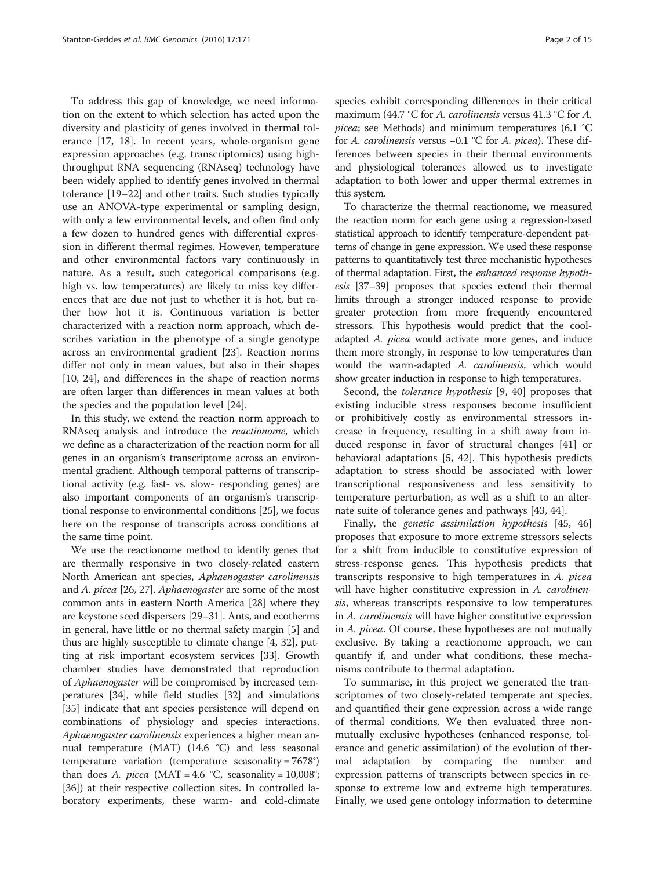To address this gap of knowledge, we need information on the extent to which selection has acted upon the diversity and plasticity of genes involved in thermal tolerance [[17](#page-12-0), [18](#page-12-0)]. In recent years, whole-organism gene expression approaches (e.g. transcriptomics) using highthroughput RNA sequencing (RNAseq) technology have been widely applied to identify genes involved in thermal tolerance [[19](#page-12-0)–[22](#page-12-0)] and other traits. Such studies typically use an ANOVA-type experimental or sampling design, with only a few environmental levels, and often find only a few dozen to hundred genes with differential expression in different thermal regimes. However, temperature and other environmental factors vary continuously in nature. As a result, such categorical comparisons (e.g. high vs. low temperatures) are likely to miss key differences that are due not just to whether it is hot, but rather how hot it is. Continuous variation is better characterized with a reaction norm approach, which describes variation in the phenotype of a single genotype across an environmental gradient [[23\]](#page-12-0). Reaction norms differ not only in mean values, but also in their shapes [[10, 24](#page-12-0)], and differences in the shape of reaction norms are often larger than differences in mean values at both the species and the population level [[24](#page-12-0)].

In this study, we extend the reaction norm approach to RNAseq analysis and introduce the reactionome, which we define as a characterization of the reaction norm for all genes in an organism's transcriptome across an environmental gradient. Although temporal patterns of transcriptional activity (e.g. fast- vs. slow- responding genes) are also important components of an organism's transcriptional response to environmental conditions [\[25](#page-12-0)], we focus here on the response of transcripts across conditions at the same time point.

We use the reactionome method to identify genes that are thermally responsive in two closely-related eastern North American ant species, Aphaenogaster carolinensis and A. picea [\[26, 27](#page-12-0)]. Aphaenogaster are some of the most common ants in eastern North America [\[28\]](#page-12-0) where they are keystone seed dispersers [\[29](#page-12-0)–[31\]](#page-13-0). Ants, and ecotherms in general, have little or no thermal safety margin [[5](#page-12-0)] and thus are highly susceptible to climate change [[4](#page-12-0), [32](#page-13-0)], putting at risk important ecosystem services [[33](#page-13-0)]. Growth chamber studies have demonstrated that reproduction of Aphaenogaster will be compromised by increased temperatures [\[34\]](#page-13-0), while field studies [[32](#page-13-0)] and simulations [[35](#page-13-0)] indicate that ant species persistence will depend on combinations of physiology and species interactions. Aphaenogaster carolinensis experiences a higher mean annual temperature (MAT) (14.6 °C) and less seasonal temperature variation (temperature seasonality = 7678°) than does A. picea (MAT = 4.6 °C, seasonality =  $10,008^\circ$ ; [[36](#page-13-0)]) at their respective collection sites. In controlled laboratory experiments, these warm- and cold-climate

species exhibit corresponding differences in their critical maximum (44.7 °C for A. *carolinensis* versus 41.3 °C for A. picea; see Methods) and minimum temperatures (6.1 °C for A. carolinensis versus −0.1 °C for A. picea). These differences between species in their thermal environments and physiological tolerances allowed us to investigate adaptation to both lower and upper thermal extremes in this system.

To characterize the thermal reactionome, we measured the reaction norm for each gene using a regression-based statistical approach to identify temperature-dependent patterns of change in gene expression. We used these response patterns to quantitatively test three mechanistic hypotheses of thermal adaptation. First, the enhanced response hypothesis [\[37](#page-13-0)–[39\]](#page-13-0) proposes that species extend their thermal limits through a stronger induced response to provide greater protection from more frequently encountered stressors. This hypothesis would predict that the cooladapted A. picea would activate more genes, and induce them more strongly, in response to low temperatures than would the warm-adapted A. carolinensis, which would show greater induction in response to high temperatures.

Second, the *tolerance hypothesis* [[9](#page-12-0), [40](#page-13-0)] proposes that existing inducible stress responses become insufficient or prohibitively costly as environmental stressors increase in frequency, resulting in a shift away from induced response in favor of structural changes [[41\]](#page-13-0) or behavioral adaptations [\[5](#page-12-0), [42\]](#page-13-0). This hypothesis predicts adaptation to stress should be associated with lower transcriptional responsiveness and less sensitivity to temperature perturbation, as well as a shift to an alternate suite of tolerance genes and pathways [[43, 44\]](#page-13-0).

Finally, the genetic assimilation hypothesis [\[45](#page-13-0), [46](#page-13-0)] proposes that exposure to more extreme stressors selects for a shift from inducible to constitutive expression of stress-response genes. This hypothesis predicts that transcripts responsive to high temperatures in A. picea will have higher constitutive expression in A. carolinensis, whereas transcripts responsive to low temperatures in A. carolinensis will have higher constitutive expression in A. picea. Of course, these hypotheses are not mutually exclusive. By taking a reactionome approach, we can quantify if, and under what conditions, these mechanisms contribute to thermal adaptation.

To summarise, in this project we generated the transcriptomes of two closely-related temperate ant species, and quantified their gene expression across a wide range of thermal conditions. We then evaluated three nonmutually exclusive hypotheses (enhanced response, tolerance and genetic assimilation) of the evolution of thermal adaptation by comparing the number and expression patterns of transcripts between species in response to extreme low and extreme high temperatures. Finally, we used gene ontology information to determine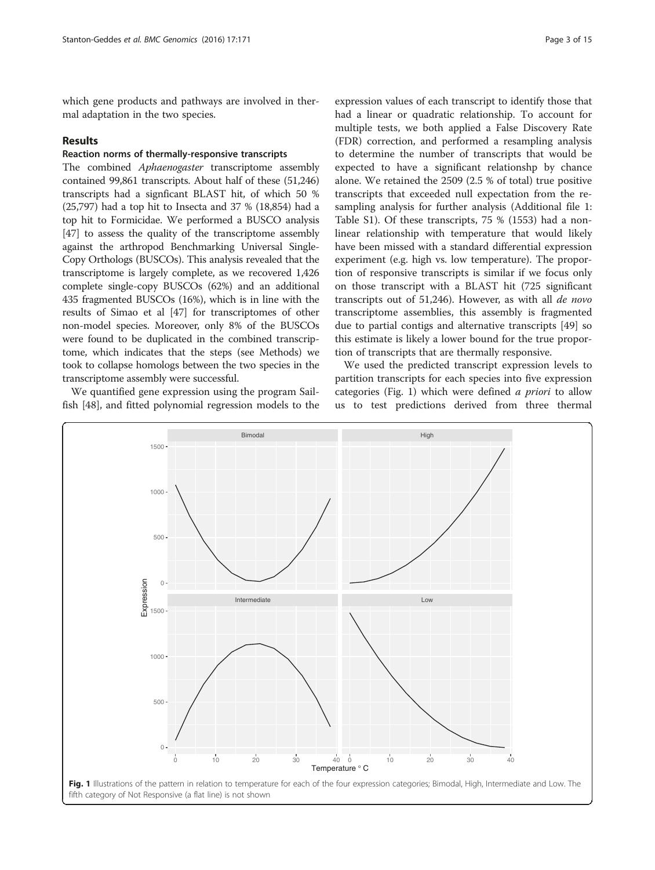<span id="page-2-0"></span>which gene products and pathways are involved in thermal adaptation in the two species.

#### Results

# Reaction norms of thermally-responsive transcripts

The combined *Aphaenogaster* transcriptome assembly contained 99,861 transcripts. About half of these (51,246) transcripts had a signficant BLAST hit, of which 50 % (25,797) had a top hit to Insecta and 37 % (18,854) had a top hit to Formicidae. We performed a BUSCO analysis [[47](#page-13-0)] to assess the quality of the transcriptome assembly against the arthropod Benchmarking Universal Single-Copy Orthologs (BUSCOs). This analysis revealed that the transcriptome is largely complete, as we recovered 1,426 complete single-copy BUSCOs (62%) and an additional 435 fragmented BUSCOs (16%), which is in line with the results of Simao et al [[47](#page-13-0)] for transcriptomes of other non-model species. Moreover, only 8% of the BUSCOs were found to be duplicated in the combined transcriptome, which indicates that the steps (see Methods) we took to collapse homologs between the two species in the transcriptome assembly were successful.

We quantified gene expression using the program Sailfish [[48\]](#page-13-0), and fitted polynomial regression models to the

expression values of each transcript to identify those that had a linear or quadratic relationship. To account for multiple tests, we both applied a False Discovery Rate (FDR) correction, and performed a resampling analysis to determine the number of transcripts that would be expected to have a significant relationshp by chance alone. We retained the 2509 (2.5 % of total) true positive transcripts that exceeded null expectation from the resampling analysis for further analysis (Additional file [1](#page-12-0): Table S1). Of these transcripts, 75 % (1553) had a nonlinear relationship with temperature that would likely have been missed with a standard differential expression experiment (e.g. high vs. low temperature). The proportion of responsive transcripts is similar if we focus only on those transcript with a BLAST hit (725 significant transcripts out of 51,246). However, as with all de novo transcriptome assemblies, this assembly is fragmented due to partial contigs and alternative transcripts [[49\]](#page-13-0) so this estimate is likely a lower bound for the true proportion of transcripts that are thermally responsive.

We used the predicted transcript expression levels to partition transcripts for each species into five expression categories (Fig. 1) which were defined a priori to allow us to test predictions derived from three thermal

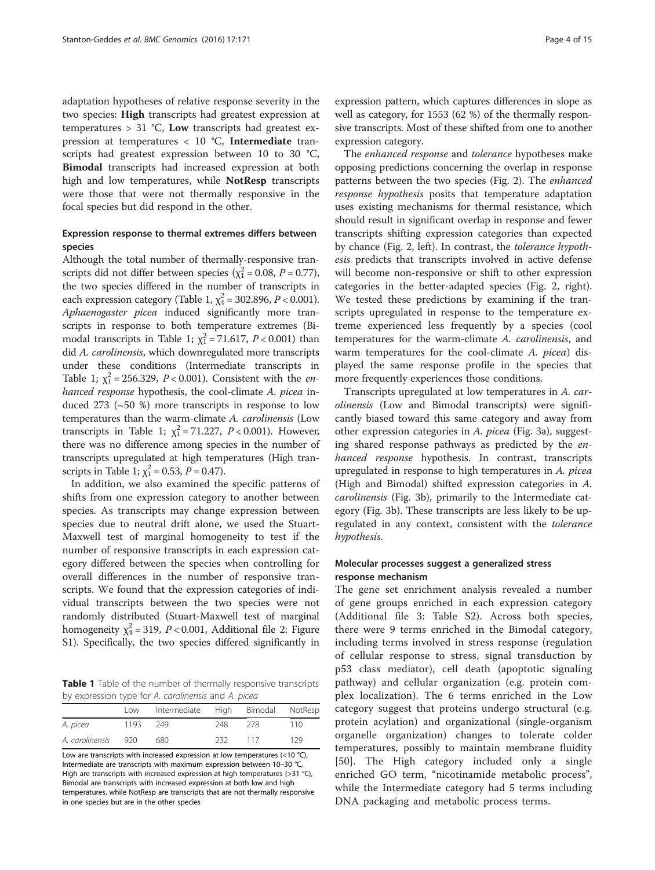<span id="page-3-0"></span>adaptation hypotheses of relative response severity in the two species: High transcripts had greatest expression at temperatures  $> 31$  °C, Low transcripts had greatest expression at temperatures  $< 10$  °C, Intermediate transcripts had greatest expression between 10 to 30 °C, Bimodal transcripts had increased expression at both high and low temperatures, while NotResp transcripts were those that were not thermally responsive in the focal species but did respond in the other.

# Expression response to thermal extremes differs between species

Although the total number of thermally-responsive transcripts did not differ between species ( $\chi_1^2$  = 0.08, *P* = 0.77), the two species differed in the number of transcripts in each expression category (Table 1,  $\chi^2_4$  = 302.896, P < 0.001). Aphaenogaster picea induced significantly more transcripts in response to both temperature extremes (Bimodal transcripts in Table 1;  $\chi_1^2$  = 71.617, P < 0.001) than did A. carolinensis, which downregulated more transcripts under these conditions (Intermediate transcripts in Table 1;  $\chi_1^2 = 256.329$ ,  $P < 0.001$ ). Consistent with the *en*hanced response hypothesis, the cool-climate A. picea induced 273 (~50 %) more transcripts in response to low temperatures than the warm-climate A. carolinensis (Low transcripts in Table 1;  $\chi_1^2 = 71.227$ ,  $P < 0.001$ ). However, there was no difference among species in the number of transcripts upregulated at high temperatures (High transcripts in Table 1;  $\chi_1^2 = 0.53$ ,  $P = 0.47$ ).

In addition, we also examined the specific patterns of shifts from one expression category to another between species. As transcripts may change expression between species due to neutral drift alone, we used the Stuart-Maxwell test of marginal homogeneity to test if the number of responsive transcripts in each expression category differed between the species when controlling for overall differences in the number of responsive transcripts. We found that the expression categories of individual transcripts between the two species were not randomly distributed (Stuart-Maxwell test of marginal homogeneity  $\chi^2_4$  = 319, P < 0.001, Additional file [2](#page-12-0): Figure S1). Specifically, the two species differed significantly in

Table 1 Table of the number of thermally responsive transcripts by expression type for A. carolinensis and A. picea

|                 | Low   | Intermediate High Bimodal NotResp |     |      |     |
|-----------------|-------|-----------------------------------|-----|------|-----|
| A. picea        | 1193  | - 249                             | 248 | -278 | 110 |
| A. carolinensis | - 920 | 680                               | 232 | 117  | 129 |

Low are transcripts with increased expression at low temperatures (<10 °C), Intermediate are transcripts with maximum expression between 10–30 °C, High are transcripts with increased expression at high temperatures (>31 °C), Bimodal are transcripts with increased expression at both low and high temperatures, while NotResp are transcripts that are not thermally responsive in one species but are in the other species

expression pattern, which captures differences in slope as well as category, for 1553 (62 %) of the thermally responsive transcripts. Most of these shifted from one to another expression category.

The enhanced response and tolerance hypotheses make opposing predictions concerning the overlap in response patterns between the two species (Fig. [2\)](#page-4-0). The enhanced response hypothesis posits that temperature adaptation uses existing mechanisms for thermal resistance, which should result in significant overlap in response and fewer transcripts shifting expression categories than expected by chance (Fig. [2,](#page-4-0) left). In contrast, the tolerance hypothesis predicts that transcripts involved in active defense will become non-responsive or shift to other expression categories in the better-adapted species (Fig. [2,](#page-4-0) right). We tested these predictions by examining if the transcripts upregulated in response to the temperature extreme experienced less frequently by a species (cool temperatures for the warm-climate A. carolinensis, and warm temperatures for the cool-climate A. picea) displayed the same response profile in the species that more frequently experiences those conditions.

Transcripts upregulated at low temperatures in A. carolinensis (Low and Bimodal transcripts) were significantly biased toward this same category and away from other expression categories in A. picea (Fig. [3a\)](#page-5-0), suggesting shared response pathways as predicted by the enhanced response hypothesis. In contrast, transcripts upregulated in response to high temperatures in A. picea (High and Bimodal) shifted expression categories in A. carolinensis (Fig. [3b\)](#page-5-0), primarily to the Intermediate category (Fig. [3b\)](#page-5-0). These transcripts are less likely to be upregulated in any context, consistent with the *tolerance* hypothesis.

## Molecular processes suggest a generalized stress response mechanism

The gene set enrichment analysis revealed a number of gene groups enriched in each expression category (Additional file [3:](#page-12-0) Table S2). Across both species, there were 9 terms enriched in the Bimodal category, including terms involved in stress response (regulation of cellular response to stress, signal transduction by p53 class mediator), cell death (apoptotic signaling pathway) and cellular organization (e.g. protein complex localization). The 6 terms enriched in the Low category suggest that proteins undergo structural (e.g. protein acylation) and organizational (single-organism organelle organization) changes to tolerate colder temperatures, possibly to maintain membrane fluidity [[50\]](#page-13-0). The High category included only a single enriched GO term, "nicotinamide metabolic process", while the Intermediate category had 5 terms including DNA packaging and metabolic process terms.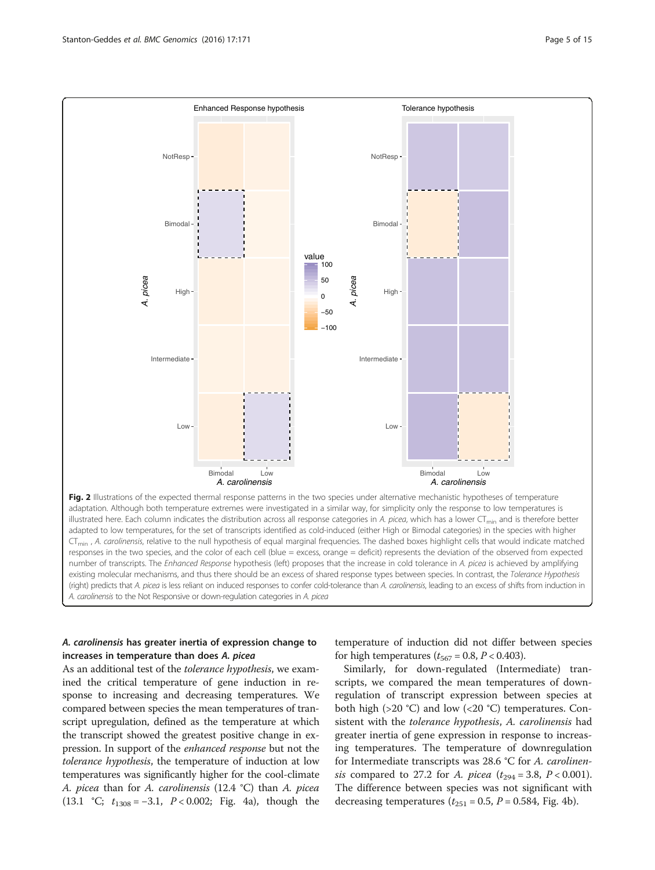<span id="page-4-0"></span>

Fig. 2 Illustrations of the expected thermal response patterns in the two species under alternative mechanistic hypotheses of temperature adaptation. Although both temperature extremes were investigated in a similar way, for simplicity only the response to low temperatures is illustrated here. Each column indicates the distribution across all response categories in A. picea, which has a lower CT<sub>min</sub> and is therefore better adapted to low temperatures, for the set of transcripts identified as cold-induced (either High or Bimodal categories) in the species with higher CT<sub>min</sub>, A. carolinensis, relative to the null hypothesis of equal marginal frequencies. The dashed boxes highlight cells that would indicate matched responses in the two species, and the color of each cell (blue = excess, orange = deficit) represents the deviation of the observed from expected number of transcripts. The Enhanced Response hypothesis (left) proposes that the increase in cold tolerance in A. picea is achieved by amplifying existing molecular mechanisms, and thus there should be an excess of shared response types between species. In contrast, the Tolerance Hypothesis (right) predicts that A. picea is less reliant on induced responses to confer cold-tolerance than A. carolinensis, leading to an excess of shifts from induction in A. carolinensis to the Not Responsive or down-regulation categories in A. picea

# A. carolinensis has greater inertia of expression change to increases in temperature than does A. picea

As an additional test of the tolerance hypothesis, we examined the critical temperature of gene induction in response to increasing and decreasing temperatures. We compared between species the mean temperatures of transcript upregulation, defined as the temperature at which the transcript showed the greatest positive change in expression. In support of the enhanced response but not the tolerance hypothesis, the temperature of induction at low temperatures was significantly higher for the cool-climate A. picea than for A. carolinensis (12.4 °C) than A. picea (13.1 °C;  $t_{1308} = -3.1$ ,  $P < 0.002$ ; Fig. [4a](#page-6-0)), though the temperature of induction did not differ between species for high temperatures ( $t_{567} = 0.8$ ,  $P < 0.403$ ).

Similarly, for down-regulated (Intermediate) transcripts, we compared the mean temperatures of downregulation of transcript expression between species at both high ( $>20$  °C) and low ( $<20$  °C) temperatures. Consistent with the tolerance hypothesis, A. carolinensis had greater inertia of gene expression in response to increasing temperatures. The temperature of downregulation for Intermediate transcripts was 28.6 °C for A. carolinensis compared to 27.2 for *A. picea* ( $t_{294} = 3.8$ ,  $P < 0.001$ ). The difference between species was not significant with decreasing temperatures ( $t_{251}$  = 0.5,  $P$  = 0.584, Fig. [4b](#page-6-0)).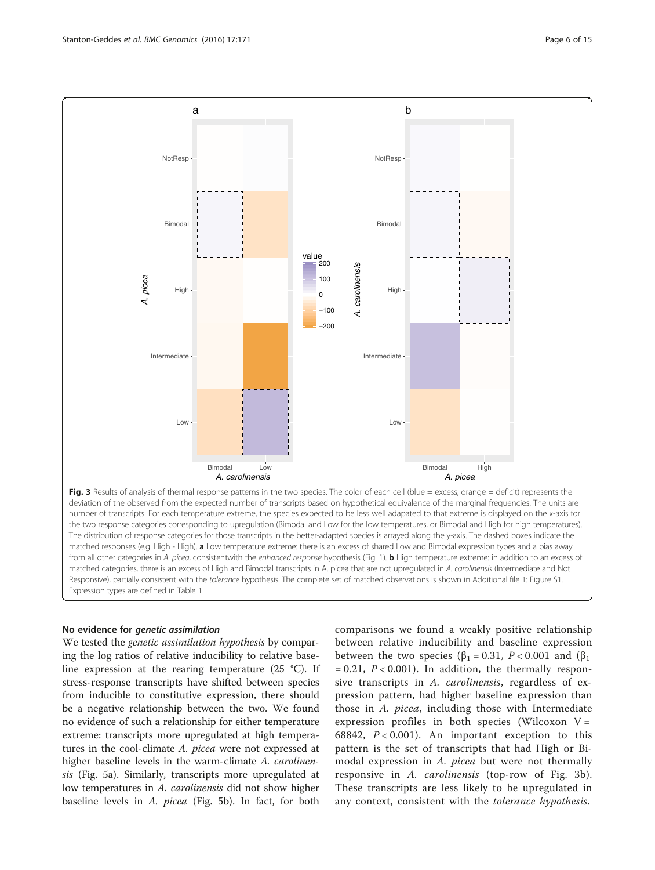<span id="page-5-0"></span>

Fig. 3 Results of analysis of thermal response patterns in the two species. The color of each cell (blue = excess, orange = deficit) represents the deviation of the observed from the expected number of transcripts based on hypothetical equivalence of the marginal frequencies. The units are number of transcripts. For each temperature extreme, the species expected to be less well adapated to that extreme is displayed on the x-axis for the two response categories corresponding to upregulation (Bimodal and Low for the low temperatures, or Bimodal and High for high temperatures). The distribution of response categories for those transcripts in the better-adapted species is arrayed along the y-axis. The dashed boxes indicate the matched responses (e.g. High - High). a Low temperature extreme: there is an excess of shared Low and Bimodal expression types and a bias away from all other categories in A. picea, consistentwith the enhanced response hypothesis (Fig. [1](#page-2-0)). b High temperature extreme: in addition to an excess of matched categories, there is an excess of High and Bimodal transcripts in A. picea that are not upregulated in A. carolinensis (Intermediate and Not Responsive), partially consistent with the tolerance hypothesis. The complete set of matched observations is shown in Additional file 1: Figure S1. Expression types are defined in Table [1](#page-3-0)

#### No evidence for genetic assimilation

We tested the genetic assimilation hypothesis by comparing the log ratios of relative inducibility to relative baseline expression at the rearing temperature (25 °C). If stress-response transcripts have shifted between species from inducible to constitutive expression, there should be a negative relationship between the two. We found no evidence of such a relationship for either temperature extreme: transcripts more upregulated at high temperatures in the cool-climate A. picea were not expressed at higher baseline levels in the warm-climate A. carolinensis (Fig. [5a\)](#page-7-0). Similarly, transcripts more upregulated at low temperatures in A. *carolinensis* did not show higher baseline levels in A. picea (Fig. [5b](#page-7-0)). In fact, for both comparisons we found a weakly positive relationship between relative inducibility and baseline expression between the two species ( $\beta_1 = 0.31$ ,  $P < 0.001$  and ( $\beta_1$ )  $= 0.21, P < 0.001$ ). In addition, the thermally responsive transcripts in A. carolinensis, regardless of expression pattern, had higher baseline expression than those in A. picea, including those with Intermediate expression profiles in both species (Wilcoxon  $V =$ 68842,  $P < 0.001$ ). An important exception to this pattern is the set of transcripts that had High or Bimodal expression in A. *picea* but were not thermally responsive in A. carolinensis (top-row of Fig. 3b). These transcripts are less likely to be upregulated in any context, consistent with the tolerance hypothesis.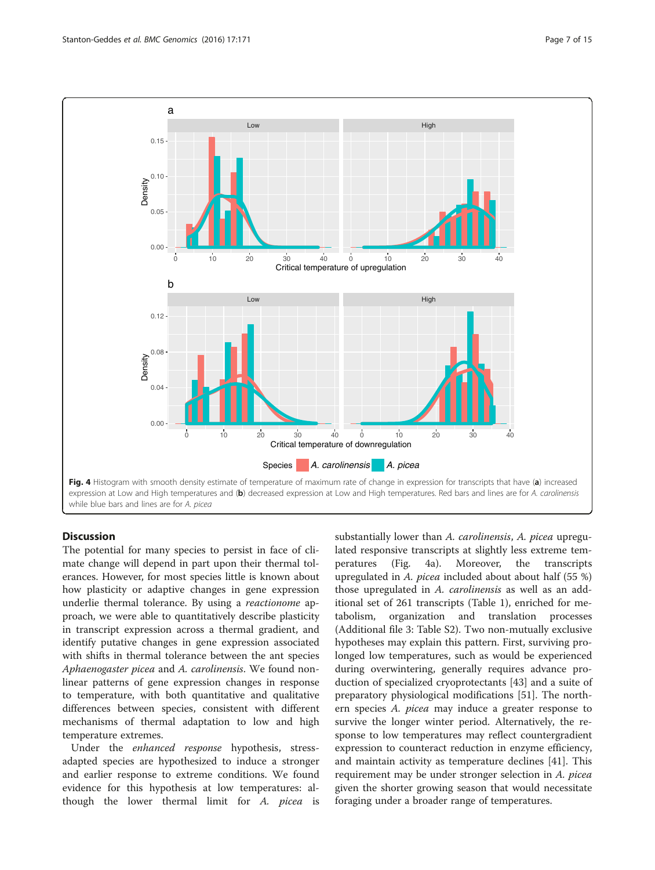<span id="page-6-0"></span>

#### **Discussion**

The potential for many species to persist in face of climate change will depend in part upon their thermal tolerances. However, for most species little is known about how plasticity or adaptive changes in gene expression underlie thermal tolerance. By using a reactionome approach, we were able to quantitatively describe plasticity in transcript expression across a thermal gradient, and identify putative changes in gene expression associated with shifts in thermal tolerance between the ant species Aphaenogaster picea and A. carolinensis. We found nonlinear patterns of gene expression changes in response to temperature, with both quantitative and qualitative differences between species, consistent with different mechanisms of thermal adaptation to low and high temperature extremes.

Under the enhanced response hypothesis, stressadapted species are hypothesized to induce a stronger and earlier response to extreme conditions. We found evidence for this hypothesis at low temperatures: although the lower thermal limit for A. picea is substantially lower than A. carolinensis, A. picea upregulated responsive transcripts at slightly less extreme temperatures (Fig. 4a). Moreover, the transcripts upregulated in A. picea included about about half (55 %) those upregulated in A. carolinensis as well as an additional set of 261 transcripts (Table [1](#page-3-0)), enriched for metabolism, organization and translation processes (Additional file [3](#page-12-0): Table S2). Two non-mutually exclusive hypotheses may explain this pattern. First, surviving prolonged low temperatures, such as would be experienced during overwintering, generally requires advance production of specialized cryoprotectants [[43\]](#page-13-0) and a suite of preparatory physiological modifications [[51\]](#page-13-0). The northern species A. picea may induce a greater response to survive the longer winter period. Alternatively, the response to low temperatures may reflect countergradient expression to counteract reduction in enzyme efficiency, and maintain activity as temperature declines [[41](#page-13-0)]. This requirement may be under stronger selection in A. picea given the shorter growing season that would necessitate foraging under a broader range of temperatures.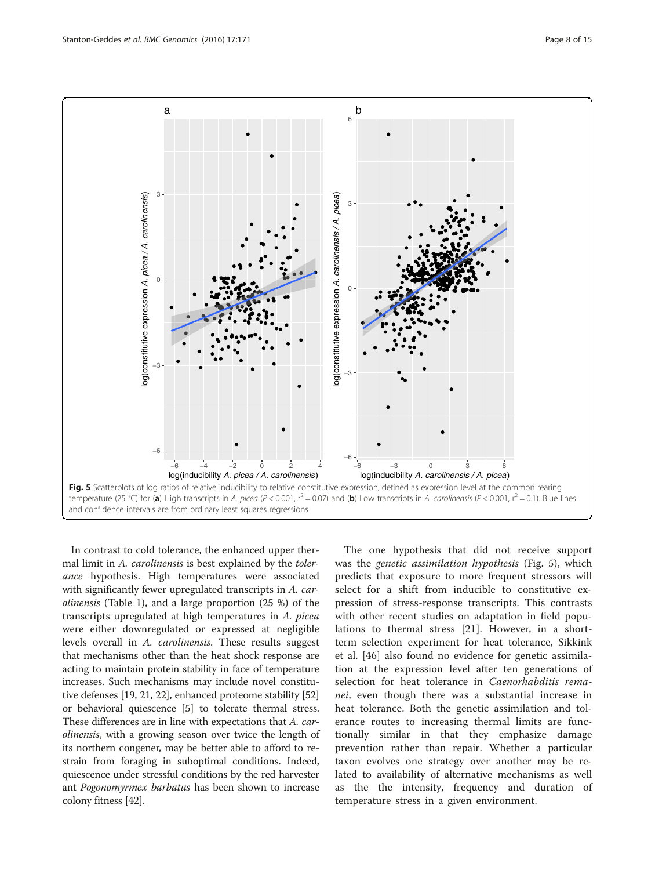<span id="page-7-0"></span>

In contrast to cold tolerance, the enhanced upper thermal limit in A. carolinensis is best explained by the tolerance hypothesis. High temperatures were associated with significantly fewer upregulated transcripts in A. carolinensis (Table [1\)](#page-3-0), and a large proportion (25 %) of the transcripts upregulated at high temperatures in A. picea were either downregulated or expressed at negligible levels overall in A. carolinensis. These results suggest that mechanisms other than the heat shock response are acting to maintain protein stability in face of temperature increases. Such mechanisms may include novel constitutive defenses [[19, 21, 22](#page-12-0)], enhanced proteome stability [[52](#page-13-0)] or behavioral quiescence [\[5](#page-12-0)] to tolerate thermal stress. These differences are in line with expectations that A. carolinensis, with a growing season over twice the length of its northern congener, may be better able to afford to restrain from foraging in suboptimal conditions. Indeed, quiescence under stressful conditions by the red harvester ant Pogonomyrmex barbatus has been shown to increase colony fitness [[42](#page-13-0)].

The one hypothesis that did not receive support was the genetic assimilation hypothesis (Fig. 5), which predicts that exposure to more frequent stressors will select for a shift from inducible to constitutive expression of stress-response transcripts. This contrasts with other recent studies on adaptation in field populations to thermal stress [[21](#page-12-0)]. However, in a shortterm selection experiment for heat tolerance, Sikkink et al. [[46\]](#page-13-0) also found no evidence for genetic assimilation at the expression level after ten generations of selection for heat tolerance in Caenorhabditis remanei, even though there was a substantial increase in heat tolerance. Both the genetic assimilation and tolerance routes to increasing thermal limits are functionally similar in that they emphasize damage prevention rather than repair. Whether a particular taxon evolves one strategy over another may be related to availability of alternative mechanisms as well as the the intensity, frequency and duration of temperature stress in a given environment.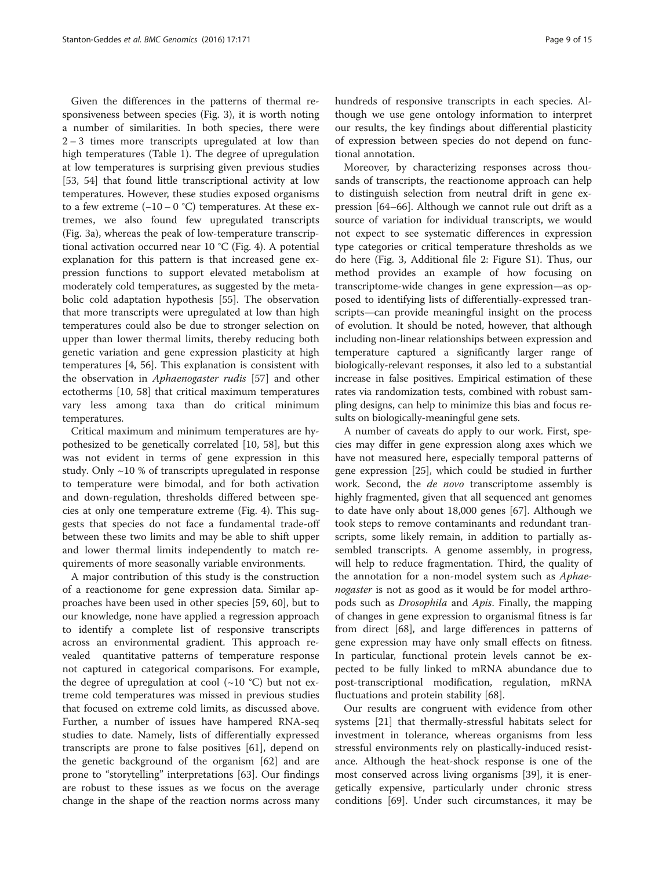Given the differences in the patterns of thermal responsiveness between species (Fig. [3](#page-5-0)), it is worth noting a number of similarities. In both species, there were 2 – 3 times more transcripts upregulated at low than high temperatures (Table [1\)](#page-3-0). The degree of upregulation at low temperatures is surprising given previous studies [[53, 54](#page-13-0)] that found little transcriptional activity at low temperatures. However, these studies exposed organisms to a few extreme  $(-10 - 0 \degree C)$  temperatures. At these extremes, we also found few upregulated transcripts (Fig. [3a\)](#page-5-0), whereas the peak of low-temperature transcriptional activation occurred near 10 °C (Fig. [4](#page-6-0)). A potential explanation for this pattern is that increased gene expression functions to support elevated metabolism at moderately cold temperatures, as suggested by the metabolic cold adaptation hypothesis [\[55\]](#page-13-0). The observation that more transcripts were upregulated at low than high temperatures could also be due to stronger selection on upper than lower thermal limits, thereby reducing both genetic variation and gene expression plasticity at high temperatures [\[4,](#page-12-0) [56](#page-13-0)]. This explanation is consistent with the observation in Aphaenogaster rudis [[57\]](#page-13-0) and other ectotherms [\[10,](#page-12-0) [58](#page-13-0)] that critical maximum temperatures vary less among taxa than do critical minimum temperatures.

Critical maximum and minimum temperatures are hypothesized to be genetically correlated [[10,](#page-12-0) [58](#page-13-0)], but this was not evident in terms of gene expression in this study. Only ~10 % of transcripts upregulated in response to temperature were bimodal, and for both activation and down-regulation, thresholds differed between species at only one temperature extreme (Fig. [4\)](#page-6-0). This suggests that species do not face a fundamental trade-off between these two limits and may be able to shift upper and lower thermal limits independently to match requirements of more seasonally variable environments.

A major contribution of this study is the construction of a reactionome for gene expression data. Similar approaches have been used in other species [\[59](#page-13-0), [60](#page-13-0)], but to our knowledge, none have applied a regression approach to identify a complete list of responsive transcripts across an environmental gradient. This approach revealed quantitative patterns of temperature response not captured in categorical comparisons. For example, the degree of upregulation at cool  $(\sim 10 \degree C)$  but not extreme cold temperatures was missed in previous studies that focused on extreme cold limits, as discussed above. Further, a number of issues have hampered RNA-seq studies to date. Namely, lists of differentially expressed transcripts are prone to false positives [\[61](#page-13-0)], depend on the genetic background of the organism [[62\]](#page-13-0) and are prone to "storytelling" interpretations [\[63\]](#page-13-0). Our findings are robust to these issues as we focus on the average change in the shape of the reaction norms across many hundreds of responsive transcripts in each species. Although we use gene ontology information to interpret our results, the key findings about differential plasticity of expression between species do not depend on functional annotation.

Moreover, by characterizing responses across thousands of transcripts, the reactionome approach can help to distinguish selection from neutral drift in gene expression [[64](#page-13-0)–[66\]](#page-13-0). Although we cannot rule out drift as a source of variation for individual transcripts, we would not expect to see systematic differences in expression type categories or critical temperature thresholds as we do here (Fig. [3](#page-5-0), Additional file [2](#page-12-0): Figure S1). Thus, our method provides an example of how focusing on transcriptome-wide changes in gene expression—as opposed to identifying lists of differentially-expressed transcripts—can provide meaningful insight on the process of evolution. It should be noted, however, that although including non-linear relationships between expression and temperature captured a significantly larger range of biologically-relevant responses, it also led to a substantial increase in false positives. Empirical estimation of these rates via randomization tests, combined with robust sampling designs, can help to minimize this bias and focus results on biologically-meaningful gene sets.

A number of caveats do apply to our work. First, species may differ in gene expression along axes which we have not measured here, especially temporal patterns of gene expression [[25](#page-12-0)], which could be studied in further work. Second, the de novo transcriptome assembly is highly fragmented, given that all sequenced ant genomes to date have only about 18,000 genes [[67](#page-13-0)]. Although we took steps to remove contaminants and redundant transcripts, some likely remain, in addition to partially assembled transcripts. A genome assembly, in progress, will help to reduce fragmentation. Third, the quality of the annotation for a non-model system such as Aphaenogaster is not as good as it would be for model arthropods such as Drosophila and Apis. Finally, the mapping of changes in gene expression to organismal fitness is far from direct [\[68](#page-13-0)], and large differences in patterns of gene expression may have only small effects on fitness. In particular, functional protein levels cannot be expected to be fully linked to mRNA abundance due to post-transcriptional modification, regulation, mRNA fluctuations and protein stability [\[68\]](#page-13-0).

Our results are congruent with evidence from other systems [\[21\]](#page-12-0) that thermally-stressful habitats select for investment in tolerance, whereas organisms from less stressful environments rely on plastically-induced resistance. Although the heat-shock response is one of the most conserved across living organisms [\[39](#page-13-0)], it is energetically expensive, particularly under chronic stress conditions [[69\]](#page-13-0). Under such circumstances, it may be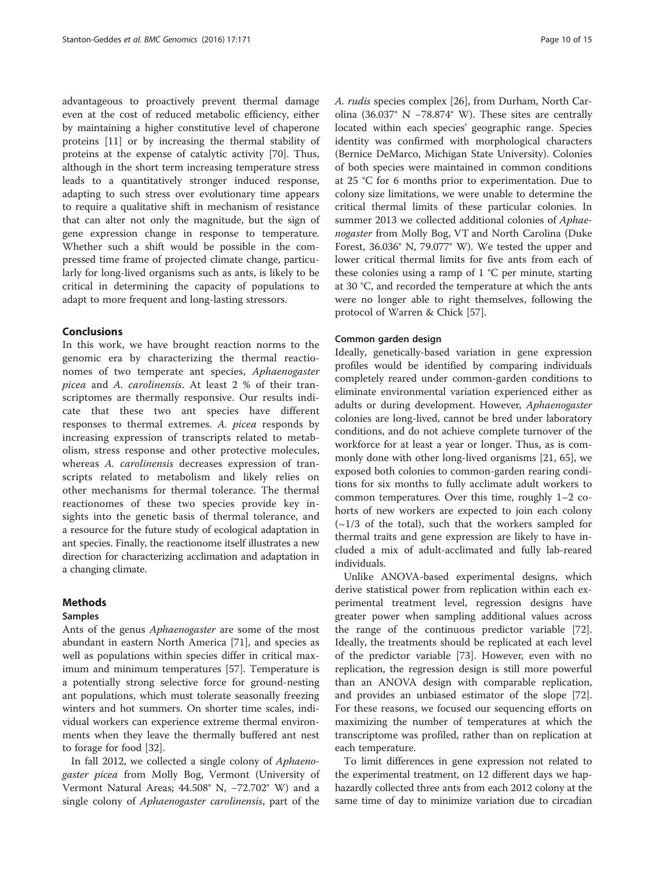advantageous to proactively prevent thermal damage even at the cost of reduced metabolic efficiency, either by maintaining a higher constitutive level of chaperone proteins [\[11](#page-12-0)] or by increasing the thermal stability of proteins at the expense of catalytic activity [[70\]](#page-13-0). Thus, although in the short term increasing temperature stress leads to a quantitatively stronger induced response, adapting to such stress over evolutionary time appears to require a qualitative shift in mechanism of resistance that can alter not only the magnitude, but the sign of gene expression change in response to temperature. Whether such a shift would be possible in the compressed time frame of projected climate change, particularly for long-lived organisms such as ants, is likely to be critical in determining the capacity of populations to adapt to more frequent and long-lasting stressors.

#### Conclusions

In this work, we have brought reaction norms to the genomic era by characterizing the thermal reactionomes of two temperate ant species, Aphaenogaster picea and A. carolinensis. At least 2 % of their transcriptomes are thermally responsive. Our results indicate that these two ant species have different responses to thermal extremes. A. picea responds by increasing expression of transcripts related to metabolism, stress response and other protective molecules, whereas A. carolinensis decreases expression of transcripts related to metabolism and likely relies on other mechanisms for thermal tolerance. The thermal reactionomes of these two species provide key insights into the genetic basis of thermal tolerance, and a resource for the future study of ecological adaptation in ant species. Finally, the reactionome itself illustrates a new direction for characterizing acclimation and adaptation in a changing climate.

#### Methods

#### Samples

Ants of the genus Aphaenogaster are some of the most abundant in eastern North America [[71\]](#page-13-0), and species as well as populations within species differ in critical maximum and minimum temperatures [\[57](#page-13-0)]. Temperature is a potentially strong selective force for ground-nesting ant populations, which must tolerate seasonally freezing winters and hot summers. On shorter time scales, individual workers can experience extreme thermal environments when they leave the thermally buffered ant nest to forage for food [\[32\]](#page-13-0).

In fall 2012, we collected a single colony of Aphaenogaster picea from Molly Bog, Vermont (University of Vermont Natural Areas; 44.508° N, −72.702° W) and a single colony of Aphaenogaster carolinensis, part of the A. rudis species complex [[26](#page-12-0)], from Durham, North Carolina (36.037° N −78.874° W). These sites are centrally located within each species' geographic range. Species identity was confirmed with morphological characters (Bernice DeMarco, Michigan State University). Colonies of both species were maintained in common conditions at 25 °C for 6 months prior to experimentation. Due to colony size limitations, we were unable to determine the critical thermal limits of these particular colonies. In summer 2013 we collected additional colonies of Aphaenogaster from Molly Bog, VT and North Carolina (Duke Forest, 36.036° N, 79.077° W). We tested the upper and lower critical thermal limits for five ants from each of these colonies using a ramp of  $1 \textdegree C$  per minute, starting at 30 °C, and recorded the temperature at which the ants were no longer able to right themselves, following the protocol of Warren & Chick [\[57](#page-13-0)].

#### Common garden design

Ideally, genetically-based variation in gene expression profiles would be identified by comparing individuals completely reared under common-garden conditions to eliminate environmental variation experienced either as adults or during development. However, Aphaenogaster colonies are long-lived, cannot be bred under laboratory conditions, and do not achieve complete turnover of the workforce for at least a year or longer. Thus, as is commonly done with other long-lived organisms [[21,](#page-12-0) [65\]](#page-13-0), we exposed both colonies to common-garden rearing conditions for six months to fully acclimate adult workers to common temperatures. Over this time, roughly 1–2 cohorts of new workers are expected to join each colony  $(\sim 1/3$  of the total), such that the workers sampled for thermal traits and gene expression are likely to have included a mix of adult-acclimated and fully lab-reared individuals.

Unlike ANOVA-based experimental designs, which derive statistical power from replication within each experimental treatment level, regression designs have greater power when sampling additional values across the range of the continuous predictor variable [\[72](#page-13-0)]. Ideally, the treatments should be replicated at each level of the predictor variable [\[73\]](#page-13-0). However, even with no replication, the regression design is still more powerful than an ANOVA design with comparable replication, and provides an unbiased estimator of the slope [\[72](#page-13-0)]. For these reasons, we focused our sequencing efforts on maximizing the number of temperatures at which the transcriptome was profiled, rather than on replication at each temperature.

To limit differences in gene expression not related to the experimental treatment, on 12 different days we haphazardly collected three ants from each 2012 colony at the same time of day to minimize variation due to circadian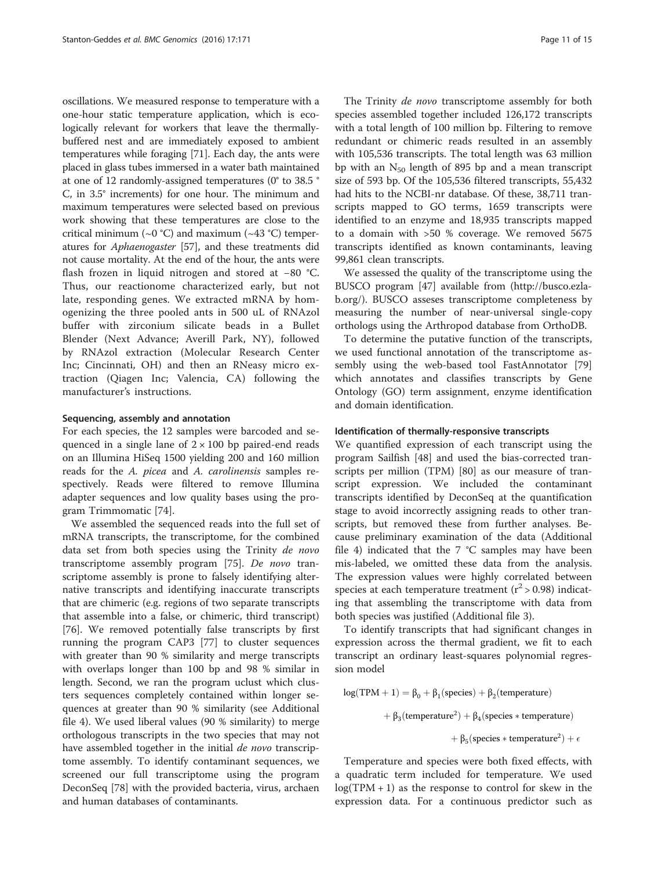oscillations. We measured response to temperature with a one-hour static temperature application, which is ecologically relevant for workers that leave the thermallybuffered nest and are immediately exposed to ambient temperatures while foraging [\[71\]](#page-13-0). Each day, the ants were placed in glass tubes immersed in a water bath maintained at one of 12 randomly-assigned temperatures (0° to 38.5 ° C, in 3.5° increments) for one hour. The minimum and maximum temperatures were selected based on previous work showing that these temperatures are close to the critical minimum ( $\sim$ 0 °C) and maximum ( $\sim$ 43 °C) temperatures for Aphaenogaster [\[57\]](#page-13-0), and these treatments did not cause mortality. At the end of the hour, the ants were flash frozen in liquid nitrogen and stored at −80 °C. Thus, our reactionome characterized early, but not late, responding genes. We extracted mRNA by homogenizing the three pooled ants in 500 uL of RNAzol buffer with zirconium silicate beads in a Bullet Blender (Next Advance; Averill Park, NY), followed by RNAzol extraction (Molecular Research Center Inc; Cincinnati, OH) and then an RNeasy micro extraction (Qiagen Inc; Valencia, CA) following the manufacturer's instructions.

#### Sequencing, assembly and annotation

For each species, the 12 samples were barcoded and sequenced in a single lane of  $2 \times 100$  bp paired-end reads on an Illumina HiSeq 1500 yielding 200 and 160 million reads for the A. picea and A. carolinensis samples respectively. Reads were filtered to remove Illumina adapter sequences and low quality bases using the program Trimmomatic [[74](#page-13-0)].

We assembled the sequenced reads into the full set of mRNA transcripts, the transcriptome, for the combined data set from both species using the Trinity de novo transcriptome assembly program [[75\]](#page-13-0). De novo transcriptome assembly is prone to falsely identifying alternative transcripts and identifying inaccurate transcripts that are chimeric (e.g. regions of two separate transcripts that assemble into a false, or chimeric, third transcript) [[76\]](#page-13-0). We removed potentially false transcripts by first running the program CAP3 [\[77](#page-13-0)] to cluster sequences with greater than 90 % similarity and merge transcripts with overlaps longer than 100 bp and 98 % similar in length. Second, we ran the program uclust which clusters sequences completely contained within longer sequences at greater than 90 % similarity (see Additional file [4](#page-12-0)). We used liberal values (90 % similarity) to merge orthologous transcripts in the two species that may not have assembled together in the initial de novo transcriptome assembly. To identify contaminant sequences, we screened our full transcriptome using the program DeconSeq [\[78\]](#page-13-0) with the provided bacteria, virus, archaen and human databases of contaminants.

The Trinity *de novo* transcriptome assembly for both species assembled together included 126,172 transcripts with a total length of 100 million bp. Filtering to remove redundant or chimeric reads resulted in an assembly with 105,536 transcripts. The total length was 63 million bp with an  $N_{50}$  length of 895 bp and a mean transcript size of 593 bp. Of the 105,536 filtered transcripts, 55,432 had hits to the NCBI-nr database. Of these, 38,711 transcripts mapped to GO terms, 1659 transcripts were identified to an enzyme and 18,935 transcripts mapped to a domain with >50 % coverage. We removed 5675 transcripts identified as known contaminants, leaving 99,861 clean transcripts.

We assessed the quality of the transcriptome using the BUSCO program [[47\]](#page-13-0) available from [\(http://busco.ezla](http://busco.ezlab.org/)[b.org/\)](http://busco.ezlab.org/). BUSCO asseses transcriptome completeness by measuring the number of near-universal single-copy orthologs using the Arthropod database from OrthoDB.

To determine the putative function of the transcripts, we used functional annotation of the transcriptome assembly using the web-based tool FastAnnotator [[79](#page-13-0)] which annotates and classifies transcripts by Gene Ontology (GO) term assignment, enzyme identification and domain identification.

#### Identification of thermally-responsive transcripts

We quantified expression of each transcript using the program Sailfish [\[48\]](#page-13-0) and used the bias-corrected transcripts per million (TPM) [\[80](#page-13-0)] as our measure of transcript expression. We included the contaminant transcripts identified by DeconSeq at the quantification stage to avoid incorrectly assigning reads to other transcripts, but removed these from further analyses. Because preliminary examination of the data (Additional file [4\)](#page-12-0) indicated that the  $7 °C$  samples may have been mis-labeled, we omitted these data from the analysis. The expression values were highly correlated between species at each temperature treatment ( $r^2 > 0.98$ ) indicating that assembling the transcriptome with data from both species was justified (Additional file [3\)](#page-12-0).

To identify transcripts that had significant changes in expression across the thermal gradient, we fit to each transcript an ordinary least-squares polynomial regression model

 $log(TPM + 1) = \beta_0 + \beta_1$ (species) +  $\beta_2$ (temperature)  $+\ \beta _{3}({\rm temperature}^{2})+\beta _{4}({\rm species} * {\rm temperature})$  $+\beta_5$ (species \* temperature<sup>2</sup>) +  $\epsilon$ 

Temperature and species were both fixed effects, with a quadratic term included for temperature. We used  $log(TPM + 1)$  as the response to control for skew in the expression data. For a continuous predictor such as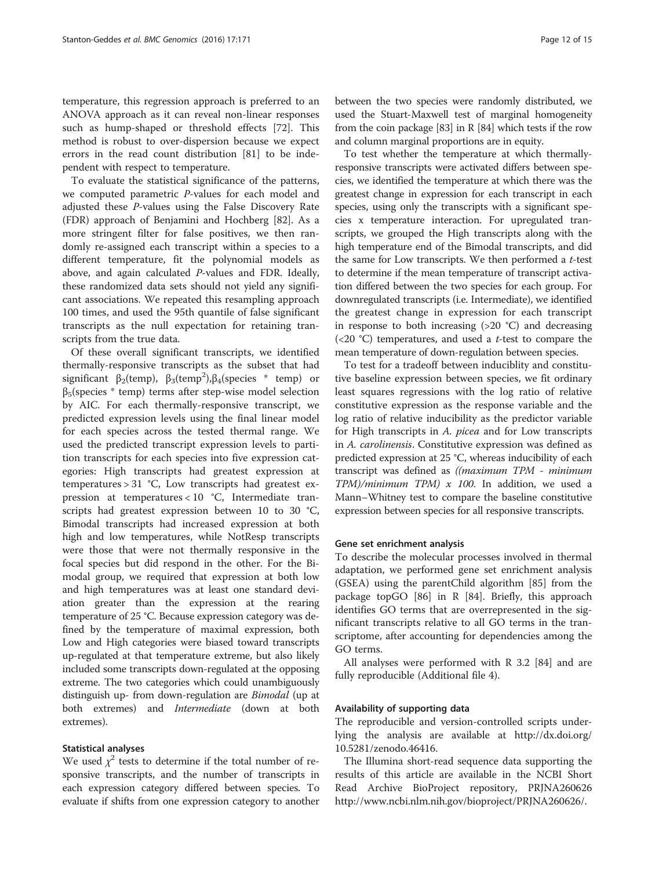temperature, this regression approach is preferred to an ANOVA approach as it can reveal non-linear responses such as hump-shaped or threshold effects [\[72](#page-13-0)]. This method is robust to over-dispersion because we expect errors in the read count distribution [[81](#page--1-0)] to be independent with respect to temperature.

To evaluate the statistical significance of the patterns, we computed parametric P-values for each model and adjusted these P-values using the False Discovery Rate (FDR) approach of Benjamini and Hochberg [[82\]](#page--1-0). As a more stringent filter for false positives, we then randomly re-assigned each transcript within a species to a different temperature, fit the polynomial models as above, and again calculated P-values and FDR. Ideally, these randomized data sets should not yield any significant associations. We repeated this resampling approach 100 times, and used the 95th quantile of false significant transcripts as the null expectation for retaining transcripts from the true data.

Of these overall significant transcripts, we identified thermally-responsive transcripts as the subset that had significant  $\beta_2$ (temp),  $\beta_3$ (temp<sup>2</sup>), $\beta_4$ (species \* temp) or  $β<sub>5</sub>(species * temp)$  terms after step-wise model selection by AIC. For each thermally-responsive transcript, we predicted expression levels using the final linear model for each species across the tested thermal range. We used the predicted transcript expression levels to partition transcripts for each species into five expression categories: High transcripts had greatest expression at temperatures > 31 °C, Low transcripts had greatest expression at temperatures < 10 °C, Intermediate transcripts had greatest expression between 10 to 30 °C, Bimodal transcripts had increased expression at both high and low temperatures, while NotResp transcripts were those that were not thermally responsive in the focal species but did respond in the other. For the Bimodal group, we required that expression at both low and high temperatures was at least one standard deviation greater than the expression at the rearing temperature of 25 °C. Because expression category was defined by the temperature of maximal expression, both Low and High categories were biased toward transcripts up-regulated at that temperature extreme, but also likely included some transcripts down-regulated at the opposing extreme. The two categories which could unambiguously distinguish up- from down-regulation are Bimodal (up at both extremes) and Intermediate (down at both extremes).

## Statistical analyses

We used  $\chi^2$  tests to determine if the total number of responsive transcripts, and the number of transcripts in each expression category differed between species. To evaluate if shifts from one expression category to another between the two species were randomly distributed, we used the Stuart-Maxwell test of marginal homogeneity from the coin package [[83](#page--1-0)] in R [\[84\]](#page--1-0) which tests if the row and column marginal proportions are in equity.

To test whether the temperature at which thermallyresponsive transcripts were activated differs between species, we identified the temperature at which there was the greatest change in expression for each transcript in each species, using only the transcripts with a significant species x temperature interaction. For upregulated transcripts, we grouped the High transcripts along with the high temperature end of the Bimodal transcripts, and did the same for Low transcripts. We then performed a t-test to determine if the mean temperature of transcript activation differed between the two species for each group. For downregulated transcripts (i.e. Intermediate), we identified the greatest change in expression for each transcript in response to both increasing  $(>20 \degree C)$  and decreasing (<20  $^{\circ}$ C) temperatures, and used a *t*-test to compare the mean temperature of down-regulation between species.

To test for a tradeoff between induciblity and constitutive baseline expression between species, we fit ordinary least squares regressions with the log ratio of relative constitutive expression as the response variable and the log ratio of relative inducibility as the predictor variable for High transcripts in A. picea and for Low transcripts in A. carolinensis. Constitutive expression was defined as predicted expression at 25 °C, whereas inducibility of each transcript was defined as ((maximum TPM - minimum  $TPM$ /minimum  $TPM$ ) x 100. In addition, we used a Mann–Whitney test to compare the baseline constitutive expression between species for all responsive transcripts.

#### Gene set enrichment analysis

To describe the molecular processes involved in thermal adaptation, we performed gene set enrichment analysis (GSEA) using the parentChild algorithm [\[85\]](#page--1-0) from the package topGO [[86](#page-13-0)] in R [\[84\]](#page--1-0). Briefly, this approach identifies GO terms that are overrepresented in the significant transcripts relative to all GO terms in the transcriptome, after accounting for dependencies among the GO terms.

All analyses were performed with R 3.2 [\[84](#page--1-0)] and are fully reproducible (Additional file [4](#page-12-0)).

#### Availability of supporting data

The reproducible and version-controlled scripts underlying the analysis are available at [http://dx.doi.org/](http://dx.doi.org/10.5281/zenodo.46416) [10.5281/zenodo.46416](http://dx.doi.org/10.5281/zenodo.46416).

The Illumina short-read sequence data supporting the results of this article are available in the NCBI Short Read Archive BioProject repository, PRJNA260626 [http://www.ncbi.nlm.nih.gov/bioproject/PRJNA260626/.](http://www.ncbi.nlm.nih.gov/bioproject/PRJNA260626/)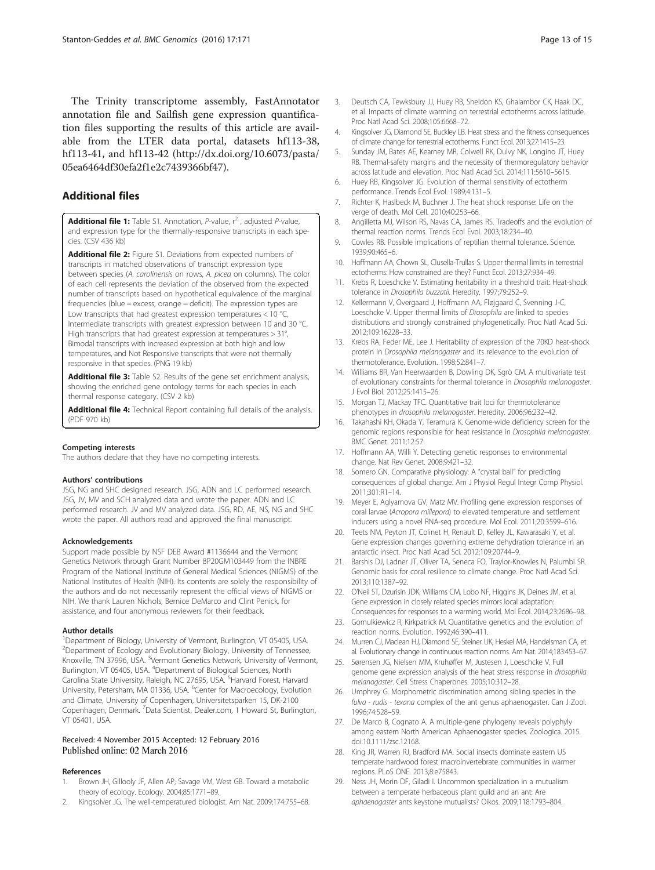<span id="page-12-0"></span>The Trinity transcriptome assembly, FastAnnotator annotation file and Sailfish gene expression quantification files supporting the results of this article are available from the LTER data portal, datasets hf113-38, hf113-41, and hf113-42 (http://dx.doi.org/[10.6073/pasta/](http://dx.doi.org/10.6073/pasta/05ea6464df30efa2f1e2c7439366bf47) [05ea6464df30efa2f1e2c7439366bf47\)](http://dx.doi.org/10.6073/pasta/05ea6464df30efa2f1e2c7439366bf47).

# Additional files

**[Additional file 1:](dx.doi.org/10.1186/s12864-016-2466-z)** Table S1. Annotation, P-value,  $r^2$ , adjusted P-value, and expression type for the thermally-responsive transcripts in each species. (CSV 436 kb)

[Additional file 2:](dx.doi.org/10.1186/s12864-016-2466-z) Figure S1. Deviations from expected numbers of transcripts in matched observations of transcript expression type between species (A. carolinensis on rows, A. picea on columns). The color of each cell represents the deviation of the observed from the expected number of transcripts based on hypothetical equivalence of the marginal frequencies (blue = excess, orange = deficit). The expression types are Low transcripts that had greatest expression temperatures < 10 °C, Intermediate transcripts with greatest expression between 10 and 30 °C, High transcripts that had greatest expression at temperatures > 31°, Bimodal transcripts with increased expression at both high and low temperatures, and Not Responsive transcripts that were not thermally responsive in that species. (PNG 19 kb)

[Additional file 3:](dx.doi.org/10.1186/s12864-016-2466-z) Table S2. Results of the gene set enrichment analysis, showing the enriched gene ontology terms for each species in each thermal response category. (CSV 2 kb)

[Additional file 4:](dx.doi.org/10.1186/s12864-016-2466-z) Technical Report containing full details of the analysis. (PDF 970 kb)

#### Competing interests

The authors declare that they have no competing interests.

#### Authors' contributions

JSG, NG and SHC designed research. JSG, ADN and LC performed research. JSG, JV, MV and SCH analyzed data and wrote the paper. ADN and LC performed research. JV and MV analyzed data. JSG, RD, AE, NS, NG and SHC wrote the paper. All authors read and approved the final manuscript.

#### Acknowledgements

Support made possible by NSF DEB Award #1136644 and the Vermont Genetics Network through Grant Number 8P20GM103449 from the INBRE Program of the National Institute of General Medical Sciences (NIGMS) of the National Institutes of Health (NIH). Its contents are solely the responsibility of the authors and do not necessarily represent the official views of NIGMS or NIH. We thank Lauren Nichols, Bernice DeMarco and Clint Penick, for assistance, and four anonymous reviewers for their feedback.

#### Author details

<sup>1</sup>Department of Biology, University of Vermont, Burlington, VT 05405, USA. <sup>2</sup> Department of Ecology and Evolutionary Biology, University of Tennessee, Knoxville, TN 37996, USA. <sup>3</sup>Vermont Genetics Network, University of Vermont, Burlington, VT 05405, USA. <sup>4</sup> Department of Biological Sciences, North Carolina State University, Raleigh, NC 27695, USA. <sup>5</sup>Harvard Forest, Harvard University, Petersham, MA 01336, USA. <sup>6</sup>Center for Macroecology, Evolution and Climate, University of Copenhagen, Universitetsparken 15, DK-2100 Copenhagen, Denmark. <sup>7</sup>Data Scientist, Dealer.com, 1 Howard St, Burlington, VT 05401, USA.

#### Received: 4 November 2015 Accepted: 12 February 2016 Published online: 02 March 2016

#### References

- Brown JH, Gillooly JF, Allen AP, Savage VM, West GB. Toward a metabolic theory of ecology. Ecology. 2004;85:1771–89.
- 2. Kingsolver JG. The well-temperatured biologist. Am Nat. 2009;174:755–68.
- 3. Deutsch CA, Tewksbury JJ, Huey RB, Sheldon KS, Ghalambor CK, Haak DC, et al. Impacts of climate warming on terrestrial ectotherms across latitude. Proc Natl Acad Sci. 2008;105:6668–72.
- 4. Kingsolver JG, Diamond SE, Buckley LB. Heat stress and the fitness consequences of climate change for terrestrial ectotherms. Funct Ecol. 2013;27:1415–23.
- 5. Sunday JM, Bates AE, Kearney MR, Colwell RK, Dulvy NK, Longino JT, Huey RB. Thermal-safety margins and the necessity of thermoregulatory behavior across latitude and elevation. Proc Natl Acad Sci. 2014;111:5610–5615.
- 6. Huey RB, Kingsolver JG. Evolution of thermal sensitivity of ectotherm performance. Trends Ecol Evol. 1989;4:131–5.
- 7. Richter K, Haslbeck M, Buchner J. The heat shock response: Life on the verge of death. Mol Cell. 2010;40:253–66.
- 8. Angilletta MJ, Wilson RS, Navas CA, James RS. Tradeoffs and the evolution of thermal reaction norms. Trends Ecol Evol. 2003;18:234–40.
- 9. Cowles RB. Possible implications of reptilian thermal tolerance. Science. 1939;90:465–6.
- 10. Hoffmann AA, Chown SL, Clusella-Trullas S. Upper thermal limits in terrestrial ectotherms: How constrained are they? Funct Ecol. 2013;27:934–49.
- 11. Krebs R, Loeschcke V. Estimating heritability in a threshold trait: Heat-shock tolerance in Drosophila buzzatii. Heredity. 1997;79:252–9.
- 12. Kellermann V, Overgaard J, Hoffmann AA, Fløjgaard C, Svenning J-C, Loeschcke V. Upper thermal limits of Drosophila are linked to species distributions and strongly constrained phylogenetically. Proc Natl Acad Sci. 2012;109:16228–33.
- 13. Krebs RA, Feder ME, Lee J. Heritability of expression of the 70KD heat-shock protein in Drosophila melanogaster and its relevance to the evolution of thermotolerance. Evolution. 1998;52:841–7.
- 14. Williams BR, Van Heerwaarden B, Dowling DK, Sgrò CM. A multivariate test of evolutionary constraints for thermal tolerance in Drosophila melanogaster. J Evol Biol. 2012;25:1415–26.
- 15. Morgan TJ, Mackay TFC. Quantitative trait loci for thermotolerance phenotypes in drosophila melanogaster. Heredity. 2006;96:232–42.
- 16. Takahashi KH, Okada Y, Teramura K. Genome-wide deficiency screen for the genomic regions responsible for heat resistance in Drosophila melanogaster. BMC Genet. 2011;12:57.
- 17. Hoffmann AA, Willi Y. Detecting genetic responses to environmental change. Nat Rev Genet. 2008;9:421–32.
- 18. Somero GN. Comparative physiology: A "crystal ball" for predicting consequences of global change. Am J Physiol Regul Integr Comp Physiol. 2011;301:R1–14.
- 19. Meyer E, Aglyamova GV, Matz MV. Profiling gene expression responses of coral larvae (Acropora millepora) to elevated temperature and settlement inducers using a novel RNA-seq procedure. Mol Ecol. 2011;20:3599–616.
- 20. Teets NM, Peyton JT, Colinet H, Renault D, Kelley JL, Kawarasaki Y, et al. Gene expression changes governing extreme dehydration tolerance in an antarctic insect. Proc Natl Acad Sci. 2012;109:20744–9.
- 21. Barshis DJ, Ladner JT, Oliver TA, Seneca FO, Traylor-Knowles N, Palumbi SR. Genomic basis for coral resilience to climate change. Proc Natl Acad Sci. 2013;110:1387–92.
- 22. O'Neil ST, Dzurisin JDK, Williams CM, Lobo NF, Higgins JK, Deines JM, et al. Gene expression in closely related species mirrors local adaptation: Consequences for responses to a warming world. Mol Ecol. 2014;23:2686–98.
- 23. Gomulkiewicz R, Kirkpatrick M. Quantitative genetics and the evolution of reaction norms. Evolution. 1992;46:390–411.
- 24. Murren CJ, Maclean HJ, Diamond SE, Steiner UK, Heskel MA, Handelsman CA, et al. Evolutionary change in continuous reaction norms. Am Nat. 2014;183:453–67.
- 25. Sørensen JG, Nielsen MM, Kruhøffer M, Justesen J, Loeschcke V. Full genome gene expression analysis of the heat stress response in drosophila melanogaster. Cell Stress Chaperones. 2005;10:312–28.
- 26. Umphrey G. Morphometric discrimination among sibling species in the fulva - rudis - texana complex of the ant genus aphaenogaster. Can J Zool. 1996;74:528–59.
- 27. De Marco B, Cognato A. A multiple-gene phylogeny reveals polyphyly among eastern North American Aphaenogaster species. Zoologica. 2015. doi[:10.1111/zsc.12168.](http://dx.doi.org/10.1111/zsc.12168)
- 28. King JR, Warren RJ, Bradford MA. Social insects dominate eastern US temperate hardwood forest macroinvertebrate communities in warmer regions. PLoS ONE. 2013;8:e75843.
- 29. Ness JH, Morin DF, Giladi I. Uncommon specialization in a mutualism between a temperate herbaceous plant guild and an ant: Are aphaenogaster ants keystone mutualists? Oikos. 2009;118:1793–804.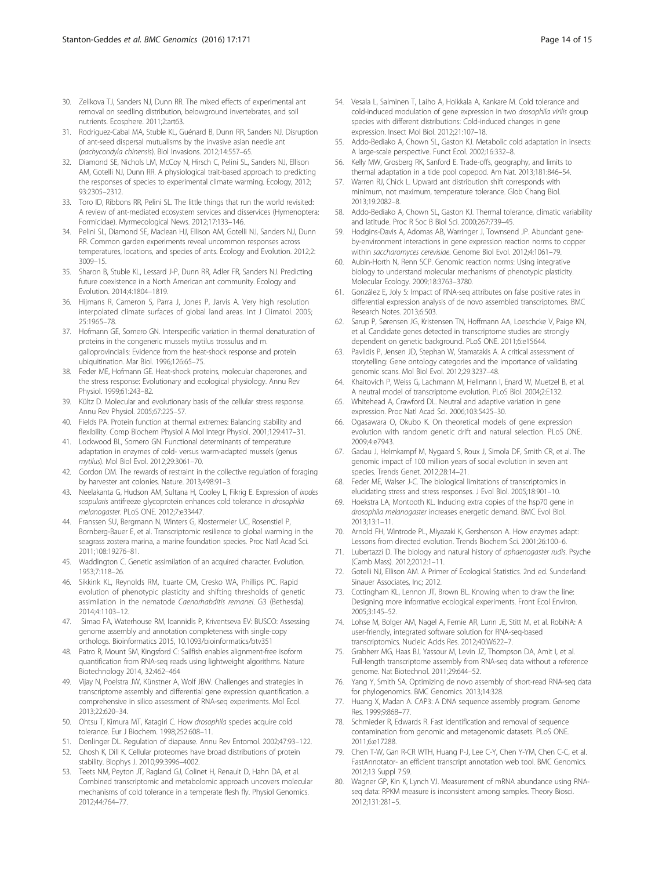- <span id="page-13-0"></span>30. Zelikova TJ, Sanders NJ, Dunn RR. The mixed effects of experimental ant removal on seedling distribution, belowground invertebrates, and soil nutrients. Ecosphere. 2011;2:art63.
- 31. Rodriguez-Cabal MA, Stuble KL, Guénard B, Dunn RR, Sanders NJ. Disruption of ant-seed dispersal mutualisms by the invasive asian needle ant (pachycondyla chinensis). Biol Invasions. 2012;14:557–65.
- 32. Diamond SE, Nichols LM, McCoy N, Hirsch C, Pelini SL, Sanders NJ, Ellison AM, Gotelli NJ, Dunn RR. A physiological trait-based approach to predicting the responses of species to experimental climate warming. Ecology, 2012; 93:2305–2312.
- 33. Toro ID, Ribbons RR, Pelini SL. The little things that run the world revisited: A review of ant-mediated ecosystem services and disservices (Hymenoptera: Formicidae). Myrmecological News. 2012;17:133–146.
- 34. Pelini SL, Diamond SE, Maclean HJ, Ellison AM, Gotelli NJ, Sanders NJ, Dunn RR. Common garden experiments reveal uncommon responses across temperatures, locations, and species of ants. Ecology and Evolution. 2012;2: 3009–15.
- 35. Sharon B, Stuble KL, Lessard J-P, Dunn RR, Adler FR, Sanders NJ. Predicting future coexistence in a North American ant community. Ecology and Evolution. 2014;4:1804–1819.
- 36. Hijmans R, Cameron S, Parra J, Jones P, Jarvis A. Very high resolution interpolated climate surfaces of global land areas. Int J Climatol. 2005; 25:1965–78.
- 37. Hofmann GE, Somero GN. Interspecific variation in thermal denaturation of proteins in the congeneric mussels mytilus trossulus and m. galloprovincialis: Evidence from the heat-shock response and protein ubiquitination. Mar Biol. 1996;126:65–75.
- 38. Feder ME, Hofmann GE. Heat-shock proteins, molecular chaperones, and the stress response: Evolutionary and ecological physiology. Annu Rev Physiol. 1999;61:243–82.
- 39. Kültz D. Molecular and evolutionary basis of the cellular stress response. Annu Rev Physiol. 2005;67:225–57.
- 40. Fields PA. Protein function at thermal extremes: Balancing stability and flexibility. Comp Biochem Physiol A Mol Integr Physiol. 2001;129:417–31.
- 41. Lockwood BL, Somero GN. Functional determinants of temperature adaptation in enzymes of cold- versus warm-adapted mussels (genus mytilus). Mol Biol Evol. 2012;29:3061–70.
- 42. Gordon DM. The rewards of restraint in the collective regulation of foraging by harvester ant colonies. Nature. 2013;498:91–3.
- 43. Neelakanta G, Hudson AM, Sultana H, Cooley L, Fikrig E. Expression of ixodes scapularis antifreeze glycoprotein enhances cold tolerance in drosophila melanogaster. PLoS ONE. 2012;7:e33447.
- 44. Franssen SU, Bergmann N, Winters G, Klostermeier UC, Rosenstiel P, Bornberg-Bauer E, et al. Transcriptomic resilience to global warming in the seagrass zostera marina, a marine foundation species. Proc Natl Acad Sci. 2011;108:19276–81.
- 45. Waddington C. Genetic assimilation of an acquired character. Evolution. 1953;7:118–26.
- 46. Sikkink KL, Reynolds RM, Ituarte CM, Cresko WA, Phillips PC. Rapid evolution of phenotypic plasticity and shifting thresholds of genetic assimilation in the nematode Caenorhabditis remanei. G3 (Bethesda). 2014;4:1103–12.
- 47. Simao FA, Waterhouse RM, Ioannidis P, Kriventseva EV: BUSCO: Assessing genome assembly and annotation completeness with single-copy orthologs. Bioinformatics 2015, 10.1093/bioinformatics/btv351
- 48. Patro R, Mount SM, Kingsford C: Sailfish enables alignment-free isoform quantification from RNA-seq reads using lightweight algorithms. Nature Biotechnology 2014, 32:462–464
- 49. Vijay N, Poelstra JW, Künstner A, Wolf JBW. Challenges and strategies in transcriptome assembly and differential gene expression quantification. a comprehensive in silico assessment of RNA-seq experiments. Mol Ecol. 2013;22:620–34.
- 50. Ohtsu T, Kimura MT, Katagiri C. How drosophila species acquire cold tolerance. Eur J Biochem. 1998;252:608–11.
- 51. Denlinger DL. Regulation of diapause. Annu Rev Entomol. 2002;47:93–122.
- 52. Ghosh K, Dill K. Cellular proteomes have broad distributions of protein stability. Biophys J. 2010;99:3996–4002.
- 53. Teets NM, Peyton JT, Ragland GJ, Colinet H, Renault D, Hahn DA, et al. Combined transcriptomic and metabolomic approach uncovers molecular mechanisms of cold tolerance in a temperate flesh fly. Physiol Genomics. 2012;44:764–77.
- 54. Vesala L, Salminen T, Laiho A, Hoikkala A, Kankare M. Cold tolerance and cold-induced modulation of gene expression in two drosophila virilis group species with different distributions: Cold-induced changes in gene expression. Insect Mol Biol. 2012;21:107–18.
- 55. Addo-Bediako A, Chown SL, Gaston KJ. Metabolic cold adaptation in insects: A large-scale perspective. Funct Ecol. 2002;16:332–8.
- 56. Kelly MW, Grosberg RK, Sanford E. Trade-offs, geography, and limits to thermal adaptation in a tide pool copepod. Am Nat. 2013;181:846–54.
- 57. Warren RJ, Chick L. Upward ant distribution shift corresponds with minimum, not maximum, temperature tolerance. Glob Chang Biol. 2013;19:2082–8.
- 58. Addo-Bediako A, Chown SL, Gaston KJ. Thermal tolerance, climatic variability and latitude. Proc R Soc B Biol Sci. 2000;267:739–45.
- 59. Hodgins-Davis A, Adomas AB, Warringer J, Townsend JP. Abundant geneby-environment interactions in gene expression reaction norms to copper within saccharomyces cerevisiae. Genome Biol Evol. 2012;4:1061–79.
- 60. Aubin-Horth N, Renn SCP. Genomic reaction norms: Using integrative biology to understand molecular mechanisms of phenotypic plasticity. Molecular Ecology. 2009;18:3763–3780.
- 61. González E, Joly S: Impact of RNA-seq attributes on false positive rates in differential expression analysis of de novo assembled transcriptomes. BMC Research Notes. 2013;6:503.
- 62. Sarup P, Sørensen JG, Kristensen TN, Hoffmann AA, Loeschcke V, Paige KN, et al. Candidate genes detected in transcriptome studies are strongly dependent on genetic background. PLoS ONE. 2011;6:e15644.
- 63. Pavlidis P, Jensen JD, Stephan W, Stamatakis A. A critical assessment of storytelling: Gene ontology categories and the importance of validating genomic scans. Mol Biol Evol. 2012;29:3237–48.
- 64. Khaitovich P, Weiss G, Lachmann M, Hellmann I, Enard W, Muetzel B, et al. A neutral model of transcriptome evolution. PLoS Biol. 2004;2:E132.
- 65. Whitehead A, Crawford DL. Neutral and adaptive variation in gene expression. Proc Natl Acad Sci. 2006;103:5425–30.
- 66. Ogasawara O, Okubo K. On theoretical models of gene expression evolution with random genetic drift and natural selection. PLoS ONE. 2009;4:e7943.
- 67. Gadau J, Helmkampf M, Nygaard S, Roux J, Simola DF, Smith CR, et al. The genomic impact of 100 million years of social evolution in seven ant species. Trends Genet. 2012;28:14–21.
- 68. Feder ME, Walser J-C. The biological limitations of transcriptomics in elucidating stress and stress responses. J Evol Biol. 2005;18:901–10.
- 69. Hoekstra LA, Montooth KL. Inducing extra copies of the hsp70 gene in drosophila melanogaster increases energetic demand. BMC Evol Biol. 2013;13:1–11.
- 70. Arnold FH, Wintrode PL, Miyazaki K, Gershenson A. How enzymes adapt: Lessons from directed evolution. Trends Biochem Sci. 2001;26:100–6.
- 71. Lubertazzi D. The biology and natural history of aphaenogaster rudis. Psyche (Camb Mass). 2012;2012:1–11.
- 72. Gotelli NJ, Ellison AM. A Primer of Ecological Statistics. 2nd ed. Sunderland: Sinauer Associates, Inc; 2012.
- 73. Cottingham KL, Lennon JT, Brown BL. Knowing when to draw the line: Designing more informative ecological experiments. Front Ecol Environ. 2005;3:145–52.
- 74. Lohse M, Bolger AM, Nagel A, Fernie AR, Lunn JE, Stitt M, et al. RobiNA: A user-friendly, integrated software solution for RNA-seq-based transcriptomics. Nucleic Acids Res. 2012;40:W622–7.
- 75. Grabherr MG, Haas BJ, Yassour M, Levin JZ, Thompson DA, Amit I, et al. Full-length transcriptome assembly from RNA-seq data without a reference genome. Nat Biotechnol. 2011;29:644–52.
- 76. Yang Y, Smith SA. Optimizing de novo assembly of short-read RNA-seq data for phylogenomics. BMC Genomics. 2013;14:328.
- 77. Huang X, Madan A. CAP3: A DNA sequence assembly program. Genome Res. 1999;9:868–77.
- 78. Schmieder R, Edwards R. Fast identification and removal of sequence contamination from genomic and metagenomic datasets. PLoS ONE. 2011;6:e17288.
- 79. Chen T-W, Gan R-CR WTH, Huang P-J, Lee C-Y, Chen Y-YM, Chen C-C, et al. FastAnnotator- an efficient transcript annotation web tool. BMC Genomics. 2012;13 Suppl 7:S9.
- 80. Wagner GP, Kin K, Lynch VJ. Measurement of mRNA abundance using RNAseq data: RPKM measure is inconsistent among samples. Theory Biosci. 2012;131:281–5.